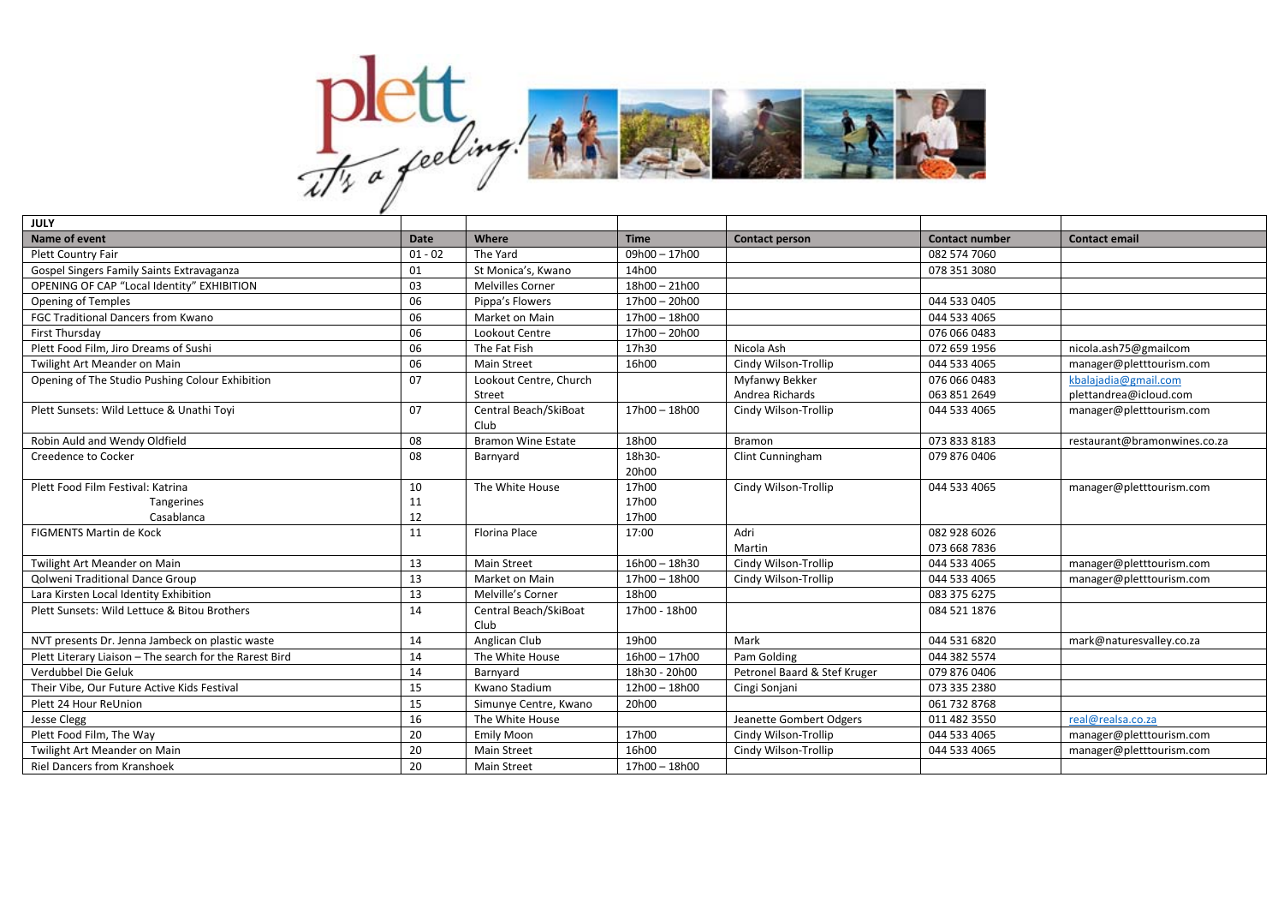

| JULY                                                    |           |                               |                 |                              |                       |                              |
|---------------------------------------------------------|-----------|-------------------------------|-----------------|------------------------------|-----------------------|------------------------------|
| <b>Name of event</b>                                    | Date      | Where                         | <b>Time</b>     | <b>Contact person</b>        | <b>Contact number</b> | <b>Contact email</b>         |
| Plett Country Fair                                      | $01 - 02$ | The Yard                      | $09h00 - 17h00$ |                              | 082 574 7060          |                              |
| Gospel Singers Family Saints Extravaganza               | 01        | St Monica's, Kwano            | 14h00           |                              | 078 351 3080          |                              |
| OPENING OF CAP "Local Identity" EXHIBITION              | 03        | <b>Melvilles Corner</b>       | $18h00 - 21h00$ |                              |                       |                              |
| <b>Opening of Temples</b>                               | 06        | Pippa's Flowers               | $17h00 - 20h00$ |                              | 044 533 0405          |                              |
| FGC Traditional Dancers from Kwano                      | 06        | Market on Main                | 17h00 - 18h00   |                              | 044 533 4065          |                              |
| First Thursday                                          | 06        | Lookout Centre                | 17h00 - 20h00   |                              | 076 066 0483          |                              |
| Plett Food Film, Jiro Dreams of Sushi                   | 06        | The Fat Fish                  | 17h30           | Nicola Ash                   | 072 659 1956          | nicola.ash75@gmailcom        |
| Twilight Art Meander on Main                            | 06        | <b>Main Street</b>            | 16h00           | Cindy Wilson-Trollip         | 044 533 4065          | manager@pletttourism.com     |
| Opening of The Studio Pushing Colour Exhibition         | 07        | Lookout Centre, Church        |                 | Myfanwy Bekker               | 076 066 0483          | kbalajadia@gmail.com         |
|                                                         |           | Street                        |                 | Andrea Richards              | 063 851 2649          | plettandrea@icloud.com       |
| Plett Sunsets: Wild Lettuce & Unathi Toyi               | 07        | Central Beach/SkiBoat<br>Club | 17h00 - 18h00   | Cindy Wilson-Trollip         | 044 533 4065          | manager@pletttourism.com     |
| Robin Auld and Wendy Oldfield                           | 08        | <b>Bramon Wine Estate</b>     | 18h00           | Bramon                       | 073 833 8183          | restaurant@bramonwines.co.za |
| <b>Creedence to Cocker</b>                              | 08        | Barnyard                      | 18h30-<br>20h00 | Clint Cunningham             | 079 876 0406          |                              |
| Plett Food Film Festival: Katrina                       | 10        | The White House               | 17h00           | Cindy Wilson-Trollip         | 044 533 4065          | manager@pletttourism.com     |
| Tangerines                                              | 11        |                               | 17h00           |                              |                       |                              |
| Casablanca                                              | 12        |                               | 17h00           |                              |                       |                              |
| <b>FIGMENTS Martin de Kock</b>                          | 11        | <b>Florina Place</b>          | 17:00           | Adri                         | 082 928 6026          |                              |
|                                                         |           |                               |                 | Martin                       | 073 668 7836          |                              |
| Twilight Art Meander on Main                            | 13        | <b>Main Street</b>            | $16h00 - 18h30$ | Cindy Wilson-Trollip         | 044 533 4065          | manager@pletttourism.com     |
| Qolweni Traditional Dance Group                         | 13        | Market on Main                | 17h00 - 18h00   | Cindy Wilson-Trollip         | 044 533 4065          | manager@pletttourism.com     |
| Lara Kirsten Local Identity Exhibition                  | 13        | Melville's Corner             | 18h00           |                              | 083 375 6275          |                              |
| Plett Sunsets: Wild Lettuce & Bitou Brothers            | 14        | Central Beach/SkiBoat<br>Club | 17h00 - 18h00   |                              | 084 521 1876          |                              |
| NVT presents Dr. Jenna Jambeck on plastic waste         | 14        | Anglican Club                 | 19h00           | Mark                         | 044 531 6820          | mark@naturesvalley.co.za     |
| Plett Literary Liaison - The search for the Rarest Bird | 14        | The White House               | $16h00 - 17h00$ | Pam Golding                  | 044 382 5574          |                              |
| Verdubbel Die Geluk                                     | 14        | Barnyard                      | 18h30 - 20h00   | Petronel Baard & Stef Kruger | 079 876 0406          |                              |
| Their Vibe, Our Future Active Kids Festival             | 15        | Kwano Stadium                 | 12h00 - 18h00   | Cingi Sonjani                | 073 335 2380          |                              |
| Plett 24 Hour ReUnion                                   | 15        | Simunye Centre, Kwano         | 20h00           |                              | 061 732 8768          |                              |
| <b>Jesse Clegg</b>                                      | 16        | The White House               |                 | Jeanette Gombert Odgers      | 011 482 3550          | real@realsa.co.za            |
| Plett Food Film, The Way                                | 20        | <b>Emily Moon</b>             | 17h00           | Cindy Wilson-Trollip         | 044 533 4065          | manager@pletttourism.com     |
| Twilight Art Meander on Main                            | 20        | <b>Main Street</b>            | 16h00           | Cindy Wilson-Trollip         | 044 533 4065          | manager@pletttourism.com     |
| <b>Riel Dancers from Kranshoek</b>                      | 20        | <b>Main Street</b>            | 17h00 - 18h00   |                              |                       |                              |